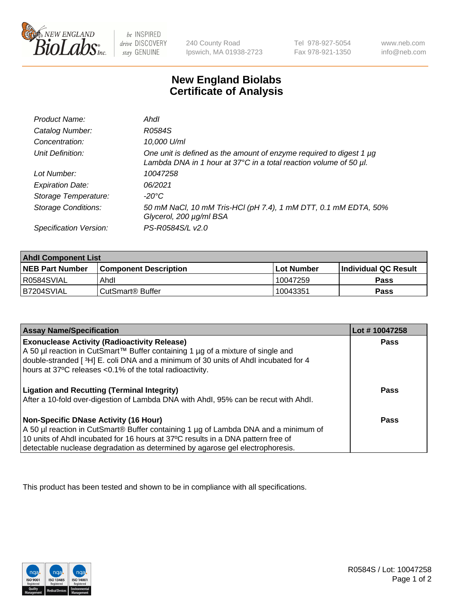

be INSPIRED drive DISCOVERY stay GENUINE

240 County Road Ipswich, MA 01938-2723 Tel 978-927-5054 Fax 978-921-1350

www.neb.com info@neb.com

## **New England Biolabs Certificate of Analysis**

| Product Name:              | Ahdl                                                                                                                                                    |
|----------------------------|---------------------------------------------------------------------------------------------------------------------------------------------------------|
| Catalog Number:            | R0584S                                                                                                                                                  |
| Concentration:             | 10,000 U/ml                                                                                                                                             |
| Unit Definition:           | One unit is defined as the amount of enzyme required to digest 1 µg<br>Lambda DNA in 1 hour at $37^{\circ}$ C in a total reaction volume of 50 $\mu$ l. |
| Lot Number:                | 10047258                                                                                                                                                |
| <b>Expiration Date:</b>    | 06/2021                                                                                                                                                 |
| Storage Temperature:       | -20°C                                                                                                                                                   |
| <b>Storage Conditions:</b> | 50 mM NaCl, 10 mM Tris-HCl (pH 7.4), 1 mM DTT, 0.1 mM EDTA, 50%<br>Glycerol, 200 µg/ml BSA                                                              |
| Specification Version:     | PS-R0584S/L v2.0                                                                                                                                        |

| <b>Ahdl Component List</b> |                              |            |                             |  |
|----------------------------|------------------------------|------------|-----------------------------|--|
| <b>NEB Part Number</b>     | <b>Component Description</b> | Lot Number | <b>Individual QC Result</b> |  |
| R0584SVIAL                 | Ahdl                         | 10047259   | Pass                        |  |
| B7204SVIAL                 | CutSmart <sup>®</sup> Buffer | 10043351   | Pass                        |  |

| <b>Assay Name/Specification</b>                                                                                                                | Lot #10047258 |
|------------------------------------------------------------------------------------------------------------------------------------------------|---------------|
| <b>Exonuclease Activity (Radioactivity Release)</b>                                                                                            | <b>Pass</b>   |
| A 50 µl reaction in CutSmart™ Buffer containing 1 µg of a mixture of single and                                                                |               |
| double-stranded [3H] E. coli DNA and a minimum of 30 units of Ahdl incubated for 4<br>hours at 37°C releases <0.1% of the total radioactivity. |               |
|                                                                                                                                                |               |
| <b>Ligation and Recutting (Terminal Integrity)</b>                                                                                             | <b>Pass</b>   |
| After a 10-fold over-digestion of Lambda DNA with Ahdl, 95% can be recut with Ahdl.                                                            |               |
|                                                                                                                                                |               |
| Non-Specific DNase Activity (16 Hour)                                                                                                          | <b>Pass</b>   |
| A 50 µl reaction in CutSmart® Buffer containing 1 µg of Lambda DNA and a minimum of                                                            |               |
| 10 units of Ahdl incubated for 16 hours at 37°C results in a DNA pattern free of                                                               |               |
| detectable nuclease degradation as determined by agarose gel electrophoresis.                                                                  |               |

This product has been tested and shown to be in compliance with all specifications.